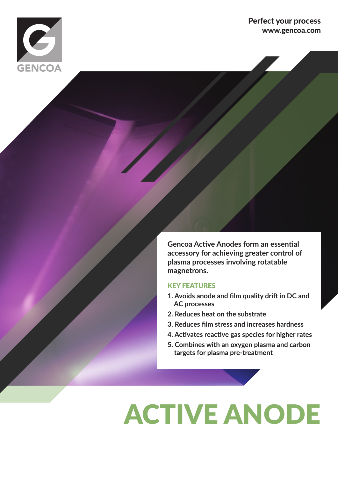

### Perfect your process www.gencoa.com

**Gencoa Active Anodes form an essential accessory for achieving greater control of plasma processes involving rotatable magnetrons.**

#### KEY FEATURES

- **1. Avoids anode and film quality drift in DC and AC processes**
- **2. Reduces heat on the substrate**
- **3. Reduces film stress and increases hardness**
- **4. Activates reactive gas species for higher rates**
- **5. Combines with an oxygen plasma and carbon targets for plasma pre-treatment**

# ACTIVE ANODE